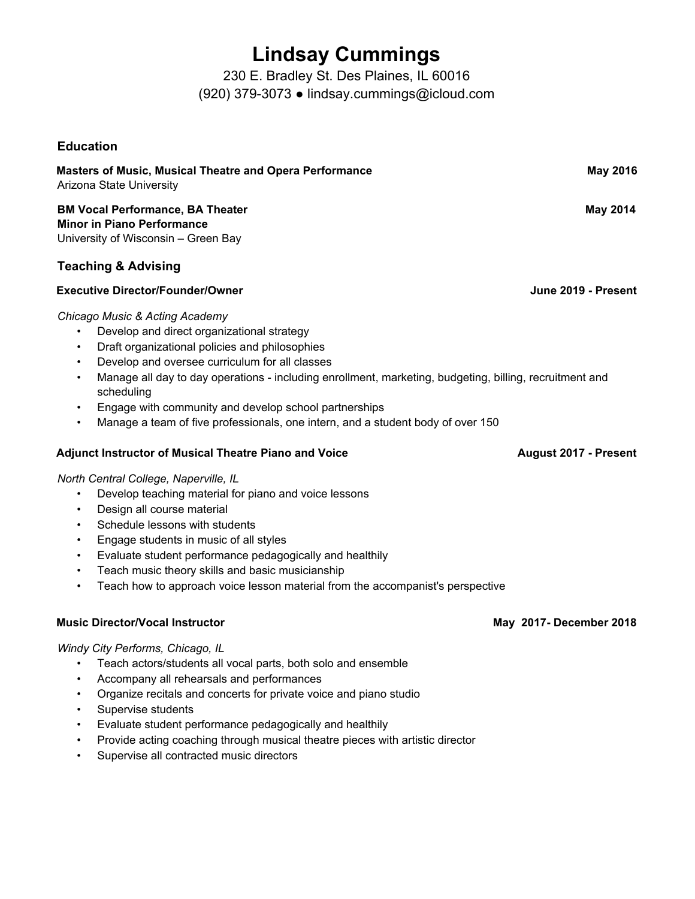## **Lindsay Cummings**

230 E. Bradley St. Des Plaines, IL 60016 (920) 379-3073 ● lindsay.cummings@icloud.com

### **Education**

| Masters of Music, Musical Theatre and Opera Performance<br>Arizona State University | <b>May 2016</b> |
|-------------------------------------------------------------------------------------|-----------------|
| <b>BM Vocal Performance, BA Theater</b>                                             | Mav 2014        |

**Minor in Piano Performance** University of Wisconsin – Green Bay

### **Teaching & Advising**

### **Executive Director/Founder/Owner June 2019 - Present**

### *Chicago Music & Acting Academy*

- Develop and direct organizational strategy
- Draft organizational policies and philosophies
- Develop and oversee curriculum for all classes
- Manage all day to day operations including enrollment, marketing, budgeting, billing, recruitment and scheduling
- Engage with community and develop school partnerships
- Manage a team of five professionals, one intern, and a student body of over 150

### **Adjunct Instructor of Musical Theatre Piano and Voice August 2017 - Present**

### *North Central College, Naperville, IL*

- Develop teaching material for piano and voice lessons
- Design all course material
- Schedule lessons with students
- Engage students in music of all styles
- Evaluate student performance pedagogically and healthily
- Teach music theory skills and basic musicianship
- Teach how to approach voice lesson material from the accompanist's perspective

### **Music Director/Vocal Instructor May 2017- December 2018**

### *Windy City Performs, Chicago, IL*

- Teach actors/students all vocal parts, both solo and ensemble
- Accompany all rehearsals and performances
- Organize recitals and concerts for private voice and piano studio
- Supervise students
- Evaluate student performance pedagogically and healthily
- Provide acting coaching through musical theatre pieces with artistic director
- Supervise all contracted music directors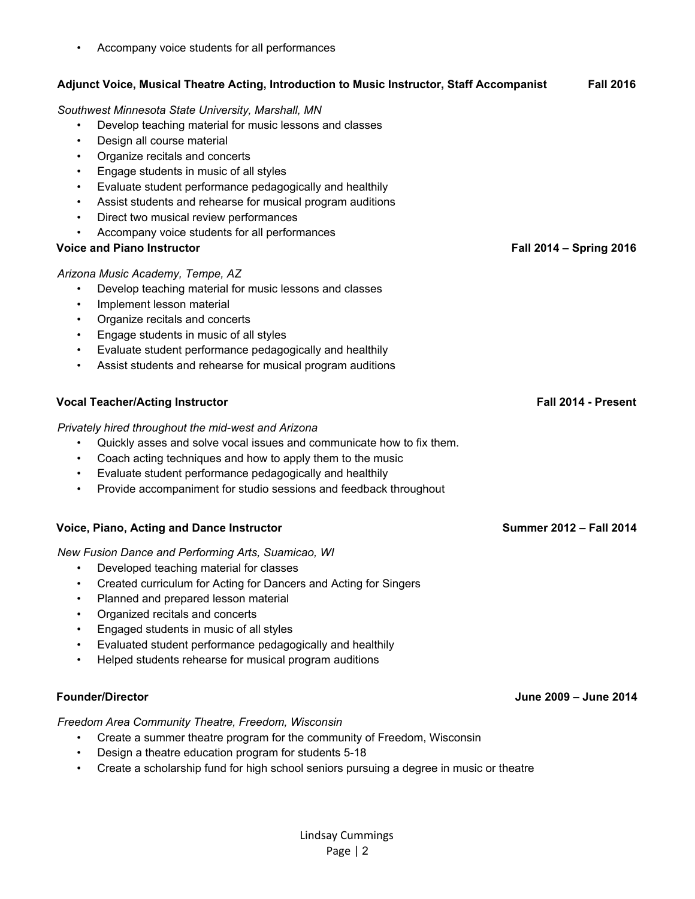• Planned and prepared lesson material • Organized recitals and concerts • Engaged students in music of all styles • Evaluated student performance pedagogically and healthily • Helped students rehearse for musical program auditions **Founder/Director June 2009 – June 2014** *Freedom Area Community Theatre, Freedom, Wisconsin* • Create a summer theatre program for the community of Freedom, Wisconsin • Design a theatre education program for students 5-18 • Create a scholarship fund for high school seniors pursuing a degree in music or theatre

### • Accompany voice students for all performances

### **Adjunct Voice, Musical Theatre Acting, Introduction to Music Instructor, Staff Accompanist Fall 2016** *Southwest Minnesota State University, Marshall, MN* • Develop teaching material for music lessons and classes • Design all course material • Organize recitals and concerts • Engage students in music of all styles • Evaluate student performance pedagogically and healthily • Assist students and rehearse for musical program auditions • Direct two musical review performances • Accompany voice students for all performances **Voice and Piano Instructor Fall 2014 – Spring 2016** *Arizona Music Academy, Tempe, AZ* • Develop teaching material for music lessons and classes Implement lesson material • Organize recitals and concerts • Engage students in music of all styles

**Vocal Teacher/Acting Instructor Fall 2014 - Present**

*Privately hired throughout the mid-west and Arizona*

- Quickly asses and solve vocal issues and communicate how to fix them.
- Coach acting techniques and how to apply them to the music
- Evaluate student performance pedagogically and healthily

• Evaluate student performance pedagogically and healthily • Assist students and rehearse for musical program auditions

• Provide accompaniment for studio sessions and feedback throughout

### **Voice, Piano, Acting and Dance Instructor Summer 2012 – Fall 2014**

*New Fusion Dance and Performing Arts, Suamicao, WI*

- Developed teaching material for classes
- Created curriculum for Acting for Dancers and Acting for Singers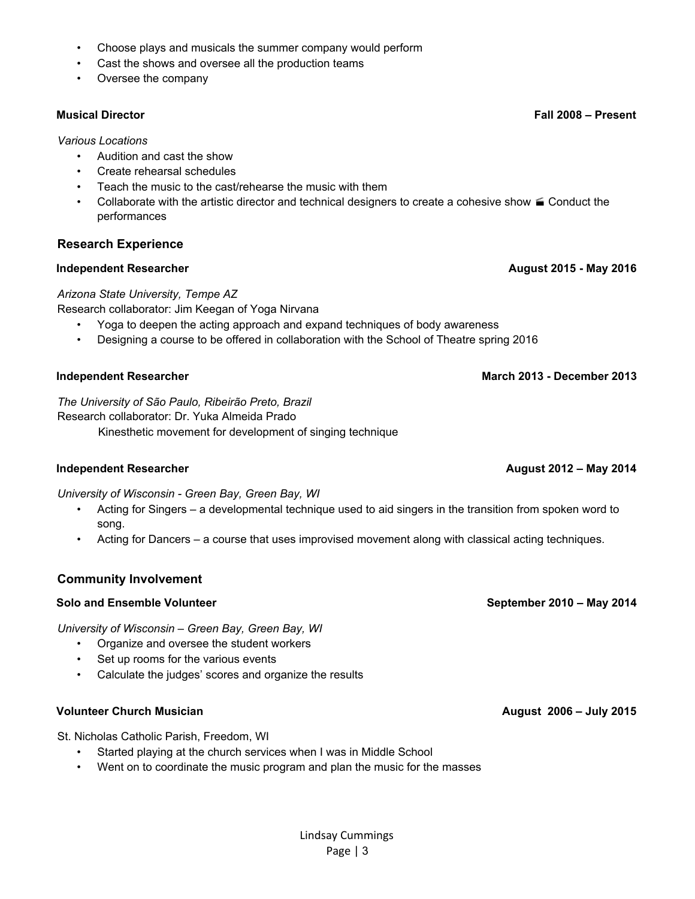Lindsay Cummings Page | 3

### • Choose plays and musicals the summer company would perform

- Cast the shows and oversee all the production teams
- Oversee the company

### *Various Locations*

- Audition and cast the show
- Create rehearsal schedules
- Teach the music to the cast/rehearse the music with them
- Collaborate with the artistic director and technical designers to create a cohesive show  $\leq$  Conduct the performances

### **Research Experience**

### **Independent Researcher August 2015 - May 2016**

### *Arizona State University, Tempe AZ*

Research collaborator: Jim Keegan of Yoga Nirvana

- Yoga to deepen the acting approach and expand techniques of body awareness
- Designing a course to be offered in collaboration with the School of Theatre spring 2016

*The University of São Paulo, Ribeirão Preto, Brazil* Research collaborator: Dr. Yuka Almeida Prado Kinesthetic movement for development of singing technique

### **Independent Researcher August 2012 – May 2014**

*University of Wisconsin - Green Bay, Green Bay, WI*

- Acting for Singers a developmental technique used to aid singers in the transition from spoken word to song.
- Acting for Dancers a course that uses improvised movement along with classical acting techniques.

### **Community Involvement**

### **Solo and Ensemble Volunteer September 2010 – May 2014**

*University of Wisconsin – Green Bay, Green Bay, WI*

- Organize and oversee the student workers
- Set up rooms for the various events
- Calculate the judges' scores and organize the results

### **Volunteer Church Musician August 2006 – July 2015**

St. Nicholas Catholic Parish, Freedom, WI

- Started playing at the church services when I was in Middle School
- Went on to coordinate the music program and plan the music for the masses

### **Independent Researcher March 2013 - December 2013**

**Musical Director Fall 2008 – Present**